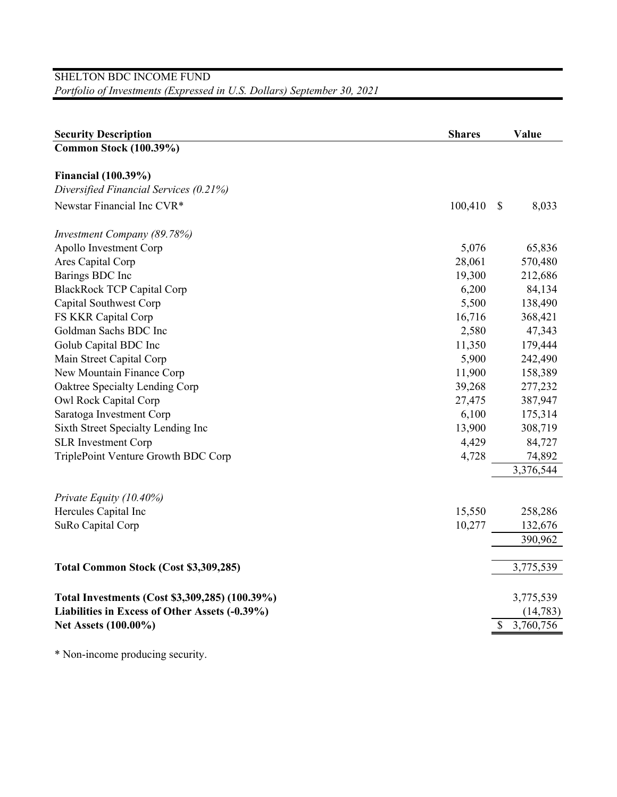## SHELTON BDC INCOME FUND *Portfolio of Investments (Expressed in U.S. Dollars) September 30, 2021*

| <b>Security Description</b>                    | <b>Shares</b> | Value                  |
|------------------------------------------------|---------------|------------------------|
| <b>Common Stock (100.39%)</b>                  |               |                        |
| <b>Financial</b> (100.39%)                     |               |                        |
| Diversified Financial Services (0.21%)         |               |                        |
| Newstar Financial Inc CVR*                     | 100,410       | $\mathcal{S}$<br>8,033 |
| Investment Company (89.78%)                    |               |                        |
| Apollo Investment Corp                         | 5,076         | 65,836                 |
| Ares Capital Corp                              | 28,061        | 570,480                |
| Barings BDC Inc                                | 19,300        | 212,686                |
| <b>BlackRock TCP Capital Corp</b>              | 6,200         | 84,134                 |
| Capital Southwest Corp                         | 5,500         | 138,490                |
| FS KKR Capital Corp                            | 16,716        | 368,421                |
| Goldman Sachs BDC Inc                          | 2,580         | 47,343                 |
| Golub Capital BDC Inc                          | 11,350        | 179,444                |
| Main Street Capital Corp                       | 5,900         | 242,490                |
| New Mountain Finance Corp                      | 11,900        | 158,389                |
| Oaktree Specialty Lending Corp                 | 39,268        | 277,232                |
| Owl Rock Capital Corp                          | 27,475        | 387,947                |
| Saratoga Investment Corp                       | 6,100         | 175,314                |
| Sixth Street Specialty Lending Inc             | 13,900        | 308,719                |
| <b>SLR</b> Investment Corp                     | 4,429         | 84,727                 |
| TriplePoint Venture Growth BDC Corp            | 4,728         | 74,892                 |
|                                                |               | 3,376,544              |
| Private Equity (10.40%)                        |               |                        |
| Hercules Capital Inc                           | 15,550        | 258,286                |
| SuRo Capital Corp                              | 10,277        | 132,676                |
|                                                |               | 390,962                |
| Total Common Stock (Cost \$3,309,285)          |               | 3,775,539              |
| Total Investments (Cost \$3,309,285) (100.39%) |               | 3,775,539              |
| Liabilities in Excess of Other Assets (-0.39%) |               | (14, 783)              |
| Net Assets (100.00%)                           |               | 3,760,756<br>\$        |

\* Non-income producing security.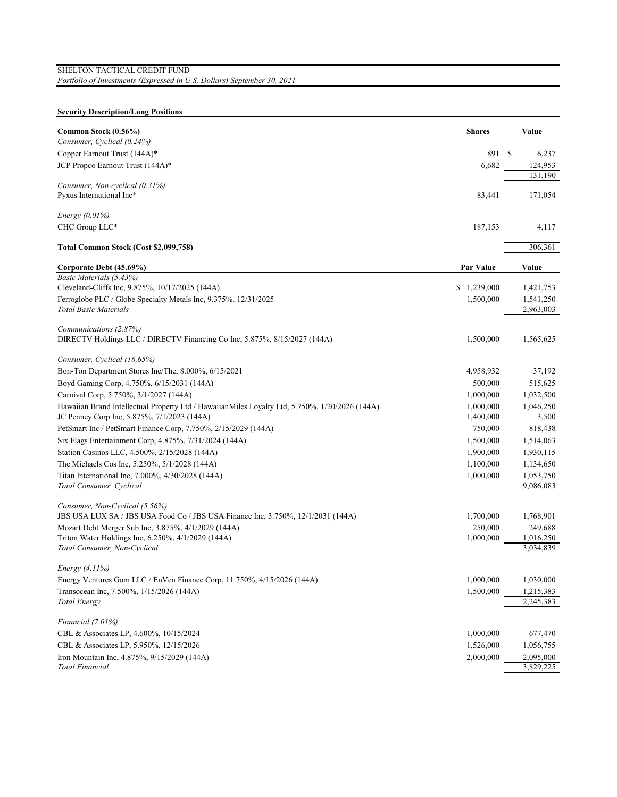## **Security Description/Long Positions**

| Common Stock (0.56%)                                                                           | <b>Shares</b> | Value     |
|------------------------------------------------------------------------------------------------|---------------|-----------|
| Consumer, Cyclical (0.24%)                                                                     |               |           |
| Copper Earnout Trust (144A)*                                                                   | 891 \$        | 6,237     |
| JCP Propco Earnout Trust (144A)*                                                               | 6,682         | 124,953   |
|                                                                                                |               | 131.190   |
| Consumer, Non-cyclical (0.31%)                                                                 |               |           |
| Pyxus International Inc*                                                                       | 83,441        | 171,054   |
| Energy $(0.01\%)$                                                                              |               |           |
| CHC Group LLC*                                                                                 | 187,153       | 4,117     |
| Total Common Stock (Cost \$2,099,758)                                                          |               | 306,361   |
| Corporate Debt (45.69%)                                                                        | Par Value     | Value     |
| Basic Materials (5.43%)                                                                        |               |           |
| Cleveland-Cliffs Inc, 9.875%, 10/17/2025 (144A)                                                | \$1,239,000   | 1,421,753 |
| Ferroglobe PLC / Globe Specialty Metals Inc, 9.375%, 12/31/2025                                | 1,500,000     | 1,541,250 |
| <b>Total Basic Materials</b>                                                                   |               | 2,963,003 |
| Communications (2.87%)                                                                         |               |           |
| DIRECTV Holdings LLC / DIRECTV Financing Co Inc, 5.875%, 8/15/2027 (144A)                      | 1,500,000     | 1,565,625 |
|                                                                                                |               |           |
| Consumer, Cyclical (16.65%)                                                                    |               |           |
| Bon-Ton Department Stores Inc/The, 8.000%, 6/15/2021                                           | 4,958,932     | 37,192    |
| Boyd Gaming Corp, 4.750%, 6/15/2031 (144A)                                                     | 500,000       | 515,625   |
| Carnival Corp, 5.750%, 3/1/2027 (144A)                                                         | 1,000,000     | 1,032,500 |
| Hawaiian Brand Intellectual Property Ltd / HawaiianMiles Loyalty Ltd, 5.750%, 1/20/2026 (144A) | 1,000,000     | 1,046,250 |
| JC Penney Corp Inc, 5.875%, 7/1/2023 (144A)                                                    | 1,400,000     | 3,500     |
| PetSmart Inc / PetSmart Finance Corp, 7.750%, 2/15/2029 (144A)                                 | 750,000       | 818,438   |
| Six Flags Entertainment Corp, 4.875%, 7/31/2024 (144A)                                         | 1,500,000     | 1,514,063 |
| Station Casinos LLC, 4.500%, 2/15/2028 (144A)                                                  | 1,900,000     | 1,930,115 |
| The Michaels Cos Inc, 5.250%, 5/1/2028 (144A)                                                  | 1,100,000     | 1,134,650 |
| Titan International Inc, 7.000%, 4/30/2028 (144A)                                              | 1,000,000     | 1,053,750 |
| Total Consumer, Cyclical                                                                       |               | 9,086,083 |
| Consumer, Non-Cyclical (5.56%)                                                                 |               |           |
| JBS USA LUX SA / JBS USA Food Co / JBS USA Finance Inc, 3.750%, 12/1/2031 (144A)               | 1,700,000     | 1,768,901 |
| Mozart Debt Merger Sub Inc, 3.875%, 4/1/2029 (144A)                                            | 250,000       | 249,688   |
| Triton Water Holdings Inc, 6.250%, 4/1/2029 (144A)                                             | 1,000,000     | 1,016,250 |
| Total Consumer, Non-Cyclical                                                                   |               | 3,034,839 |
| Energy (4.11%)                                                                                 |               |           |
| Energy Ventures Gom LLC / EnVen Finance Corp, 11.750%, 4/15/2026 (144A)                        | 1,000,000     | 1,030,000 |
| Transocean Inc, 7.500%, 1/15/2026 (144A)                                                       | 1,500,000     | 1,215,383 |
| <b>Total Energy</b>                                                                            |               | 2,245,383 |
| Financial (7.01%)                                                                              |               |           |
| CBL & Associates LP, 4.600%, 10/15/2024                                                        | 1,000,000     | 677,470   |
| CBL & Associates LP, 5.950%, 12/15/2026                                                        | 1,526,000     | 1,056,755 |
| Iron Mountain Inc, 4.875%, 9/15/2029 (144A)                                                    | 2,000,000     | 2,095,000 |
| <b>Total Financial</b>                                                                         |               | 3,829,225 |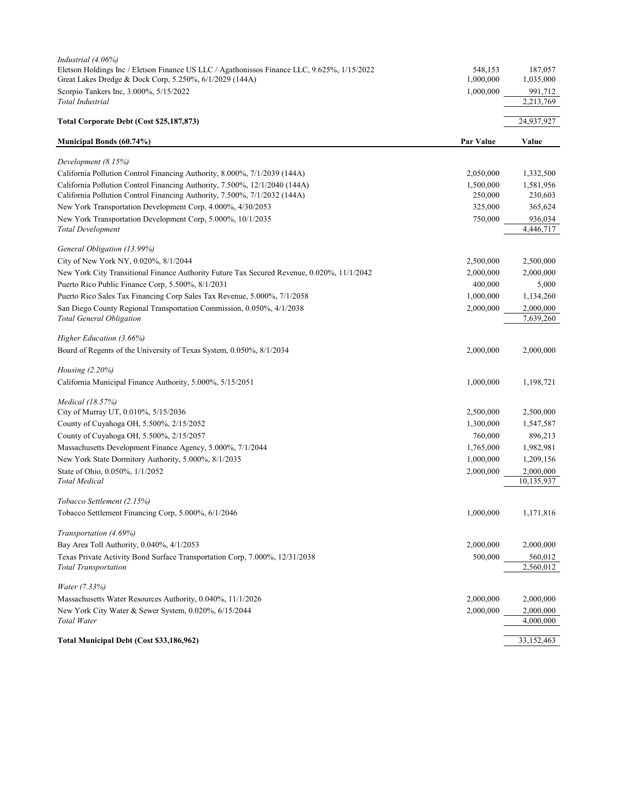| Industrial (4.06%)<br>Eletson Holdings Inc / Eletson Finance US LLC / Agathonissos Finance LLC, 9.625%, 1/15/2022 | 548,153   | 187,057                 |
|-------------------------------------------------------------------------------------------------------------------|-----------|-------------------------|
| Great Lakes Dredge & Dock Corp, 5.250%, 6/1/2029 (144A)                                                           | 1,000,000 | 1,035,000               |
| Scorpio Tankers Inc, 3.000%, 5/15/2022<br>Total Industrial                                                        | 1,000,000 | 991,712<br>2,213,769    |
|                                                                                                                   |           |                         |
| Total Corporate Debt (Cost \$25,187,873)                                                                          |           | 24,937,927              |
| Municipal Bonds (60.74%)                                                                                          | Par Value | Value                   |
| Development (8.15%)                                                                                               |           |                         |
| California Pollution Control Financing Authority, 8.000%, 7/1/2039 (144A)                                         | 2,050,000 | 1,332,500               |
| California Pollution Control Financing Authority, 7.500%, 12/1/2040 (144A)                                        | 1,500,000 | 1,581,956               |
| California Pollution Control Financing Authority, 7.500%, 7/1/2032 (144A)                                         | 250,000   | 230,603                 |
| New York Transportation Development Corp, 4.000%, 4/30/2053                                                       | 325,000   | 365,624                 |
| New York Transportation Development Corp, 5.000%, 10/1/2035                                                       | 750,000   | 936,034                 |
| <b>Total Development</b>                                                                                          |           | 4,446,717               |
| General Obligation (13.99%)                                                                                       |           |                         |
| City of New York NY, 0.020%, 8/1/2044                                                                             | 2,500,000 | 2,500,000               |
| New York City Transitional Finance Authority Future Tax Secured Revenue, 0.020%, 11/1/2042                        | 2,000,000 | 2,000,000               |
| Puerto Rico Public Finance Corp, 5.500%, 8/1/2031                                                                 | 400,000   | 5,000                   |
| Puerto Rico Sales Tax Financing Corp Sales Tax Revenue, 5.000%, 7/1/2058                                          | 1,000,000 | 1,134,260               |
| San Diego County Regional Transportation Commission, 0.050%, 4/1/2038                                             | 2,000,000 | 2,000,000               |
| <b>Total General Obligation</b>                                                                                   |           | 7,639,260               |
| Higher Education (3.66%)                                                                                          |           |                         |
| Board of Regents of the University of Texas System, 0.050%, 8/1/2034                                              | 2,000,000 | 2,000,000               |
| Housing $(2.20\%)$                                                                                                |           |                         |
| California Municipal Finance Authority, 5.000%, 5/15/2051                                                         | 1,000,000 | 1,198,721               |
|                                                                                                                   |           |                         |
| <i>Medical</i> (18.57%)                                                                                           |           |                         |
| City of Murray UT, 0.010%, 5/15/2036                                                                              | 2,500,000 | 2,500,000               |
| County of Cuyahoga OH, 5.500%, 2/15/2052                                                                          | 1,300,000 | 1,547,587               |
| County of Cuyahoga OH, 5.500%, 2/15/2057                                                                          | 760,000   | 896,213                 |
| Massachusetts Development Finance Agency, 5.000%, 7/1/2044                                                        | 1,765,000 | 1,982,981               |
| New York State Dormitory Authority, 5.000%, 8/1/2035                                                              | 1,000,000 | 1,209,156               |
| State of Ohio, 0.050%, 1/1/2052<br><b>Total Medical</b>                                                           | 2,000,000 | 2,000,000<br>10,135,937 |
|                                                                                                                   |           |                         |
| Tobacco Settlement (2.15%)                                                                                        |           |                         |
| Tobacco Settlement Financing Corp, 5.000%, 6/1/2046                                                               | 1,000,000 | 1,171,816               |
| Transportation (4.69%)                                                                                            |           |                         |
| Bay Area Toll Authority, 0.040%, 4/1/2053                                                                         | 2,000,000 | 2,000,000               |
| Texas Private Activity Bond Surface Transportation Corp, 7.000%, 12/31/2038                                       | 500,000   | 560,012                 |
| <b>Total Transportation</b>                                                                                       |           | 2,560,012               |
| Water (7.33%)                                                                                                     |           |                         |
| Massachusetts Water Resources Authority, 0.040%, 11/1/2026                                                        | 2,000,000 | 2,000,000               |
| New York City Water & Sewer System, 0.020%, 6/15/2044                                                             | 2,000,000 | 2,000,000               |
| Total Water                                                                                                       |           | 4,000,000               |
| Total Municipal Debt (Cost \$33,186,962)                                                                          |           | 33,152,463              |
|                                                                                                                   |           |                         |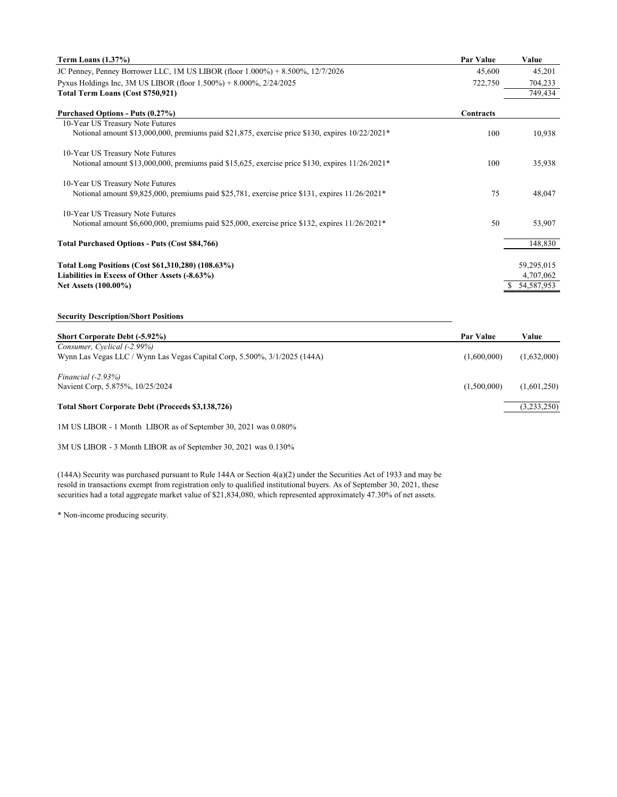| Term Loans (1.37%)                                                                                            | <b>Par Value</b> | Value        |
|---------------------------------------------------------------------------------------------------------------|------------------|--------------|
| JC Penney, Penney Borrower LLC, 1M US LIBOR (floor 1.000%) + 8.500%, 12/7/2026                                | 45,600           | 45,201       |
| Pyxus Holdings Inc, 3M US LIBOR (floor 1.500%) + 8.000%, 2/24/2025                                            | 722,750          | 704,233      |
| Total Term Loans (Cost \$750,921)                                                                             |                  | 749.434      |
| Purchased Options - Puts (0.27%)                                                                              | Contracts        |              |
| 10-Year US Treasury Note Futures                                                                              |                  |              |
| Notional amount \$13,000,000, premiums paid \$21,875, exercise price \$130, expires $10/22/2021*$             | 100              | 10,938       |
| 10-Year US Treasury Note Futures                                                                              |                  |              |
| Notional amount \$13,000,000, premiums paid \$15,625, exercise price \$130, expires $11/26/2021$ <sup>*</sup> | 100              | 35,938       |
| 10-Year US Treasury Note Futures                                                                              |                  |              |
| Notional amount \$9,825,000, premiums paid \$25,781, exercise price \$131, expires $11/26/2021*$              | 75               | 48,047       |
| 10-Year US Treasury Note Futures                                                                              |                  |              |
| Notional amount \$6,600,000, premiums paid \$25,000, exercise price \$132, expires $11/26/2021*$              | 50               | 53,907       |
| <b>Total Purchased Options - Puts (Cost \$84,766)</b>                                                         |                  | 148,830      |
| Total Long Positions (Cost \$61,310,280) (108.63%)                                                            |                  | 59,295,015   |
| Liabilities in Excess of Other Assets (-8.63%)                                                                |                  | 4,707,062    |
| Net Assets (100.00%)                                                                                          |                  | \$54,587,953 |
|                                                                                                               |                  |              |
| <b>Security Description/Short Positions</b>                                                                   |                  |              |
| Short Corporate Debt (-5.92%)                                                                                 | <b>Par Value</b> | Value        |
| Consumer, Cyclical (-2.99%)                                                                                   |                  |              |
| Wynn Las Vegas LLC / Wynn Las Vegas Capital Corp, 5.500%, 3/1/2025 (144A)                                     | (1.600,000)      | (1,632,000)  |

*Financial (-2.93%)* Navient Corp, 5.875%, 10/25/2024 (1,500,000) (1,601,250)

**Total Short Corporate Debt (Proceeds \$3,138,726)** (3,233,250)

1M US LIBOR - 1 Month LIBOR as of September 30, 2021 was 0.080%

3M US LIBOR - 3 Month LIBOR as of September 30, 2021 was 0.130%

(144A) Security was purchased pursuant to Rule 144A or Section 4(a)(2) under the Securities Act of 1933 and may be resold in transactions exempt from registration only to qualified institutional buyers. As of September 30, 2021, these securities had a total aggregate market value of \$21,834,080, which represented approximately 47.30% of net assets.

\* Non-income producing security.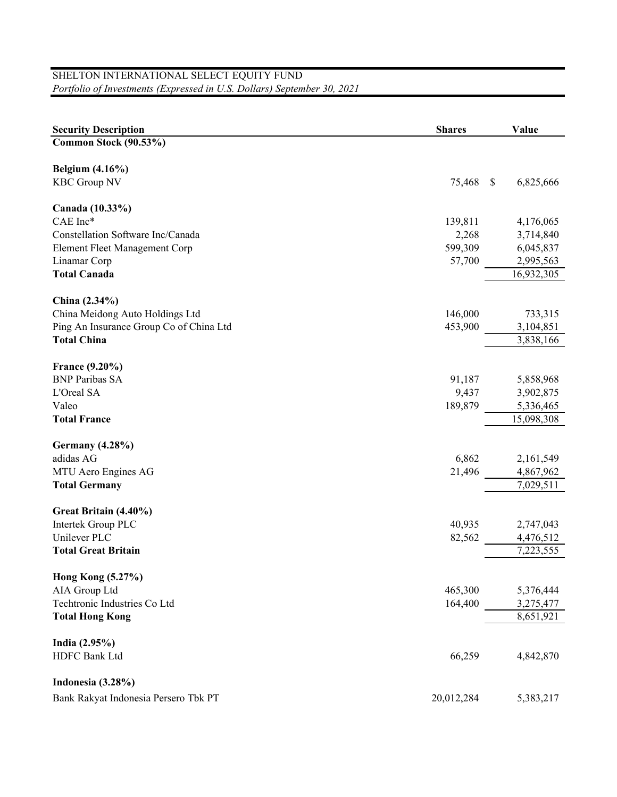## SHELTON INTERNATIONAL SELECT EQUITY FUND *Portfolio of Investments (Expressed in U.S. Dollars) September 30, 2021*

| <b>Security Description</b>                      | <b>Shares</b> | Value           |
|--------------------------------------------------|---------------|-----------------|
| Common Stock (90.53%)                            |               |                 |
|                                                  |               |                 |
| <b>Belgium (4.16%)</b>                           |               |                 |
| <b>KBC Group NV</b>                              | 75,468        | 6,825,666<br>\$ |
| Canada (10.33%)                                  |               |                 |
| CAE Inc*                                         | 139,811       | 4,176,065       |
| Constellation Software Inc/Canada                | 2,268         | 3,714,840       |
| Element Fleet Management Corp                    | 599,309       | 6,045,837       |
| Linamar Corp                                     | 57,700        | 2,995,563       |
| <b>Total Canada</b>                              |               | 16,932,305      |
|                                                  |               |                 |
| China (2.34%)<br>China Meidong Auto Holdings Ltd | 146,000       | 733,315         |
| Ping An Insurance Group Co of China Ltd          | 453,900       | 3,104,851       |
| <b>Total China</b>                               |               | 3,838,166       |
|                                                  |               |                 |
| France (9.20%)                                   |               |                 |
| <b>BNP Paribas SA</b>                            | 91,187        | 5,858,968       |
| L'Oreal SA                                       | 9,437         | 3,902,875       |
| Valeo                                            | 189,879       | 5,336,465       |
| <b>Total France</b>                              |               | 15,098,308      |
| <b>Germany</b> (4.28%)                           |               |                 |
| adidas AG                                        | 6,862         | 2,161,549       |
| MTU Aero Engines AG                              | 21,496        | 4,867,962       |
| <b>Total Germany</b>                             |               | 7,029,511       |
| Great Britain (4.40%)                            |               |                 |
| Intertek Group PLC                               | 40,935        | 2,747,043       |
| Unilever PLC                                     | 82,562        | 4,476,512       |
| <b>Total Great Britain</b>                       |               | 7,223,555       |
|                                                  |               |                 |
| Hong Kong (5.27%)                                |               |                 |
| AIA Group Ltd                                    | 465,300       | 5,376,444       |
| Techtronic Industries Co Ltd                     | 164,400       | 3,275,477       |
| <b>Total Hong Kong</b>                           |               | 8,651,921       |
| India (2.95%)                                    |               |                 |
| HDFC Bank Ltd                                    | 66,259        | 4,842,870       |
|                                                  |               |                 |
| Indonesia (3.28%)                                |               |                 |
| Bank Rakyat Indonesia Persero Tbk PT             | 20,012,284    | 5,383,217       |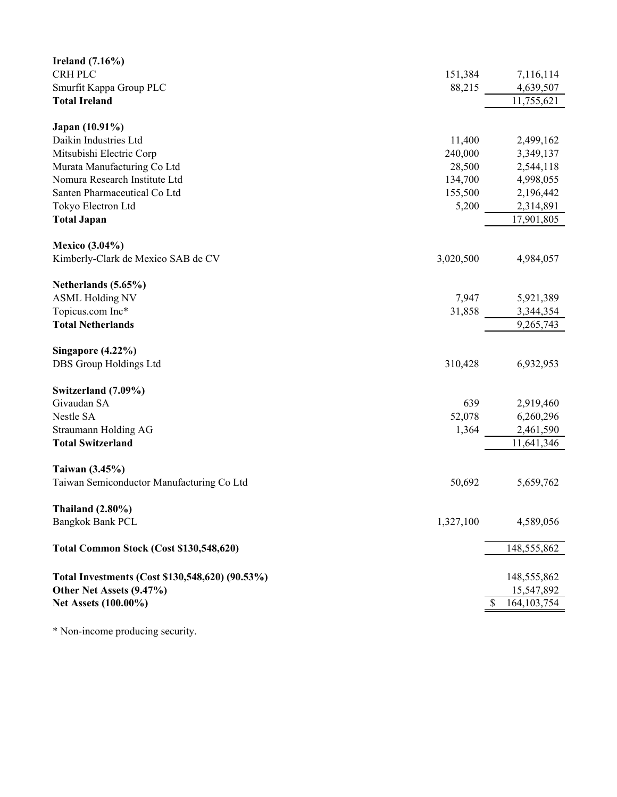| Ireland $(7.16\%)$                              |           |                    |
|-------------------------------------------------|-----------|--------------------|
| <b>CRH PLC</b>                                  | 151,384   | 7,116,114          |
| Smurfit Kappa Group PLC                         | 88,215    | 4,639,507          |
| <b>Total Ireland</b>                            |           | 11,755,621         |
|                                                 |           |                    |
| Japan (10.91%)                                  |           |                    |
| Daikin Industries Ltd                           | 11,400    | 2,499,162          |
| Mitsubishi Electric Corp                        | 240,000   | 3,349,137          |
| Murata Manufacturing Co Ltd                     | 28,500    | 2,544,118          |
| Nomura Research Institute Ltd                   | 134,700   | 4,998,055          |
| Santen Pharmaceutical Co Ltd                    | 155,500   | 2,196,442          |
| Tokyo Electron Ltd                              | 5,200     | 2,314,891          |
| <b>Total Japan</b>                              |           | 17,901,805         |
|                                                 |           |                    |
| <b>Mexico</b> (3.04%)                           |           |                    |
| Kimberly-Clark de Mexico SAB de CV              | 3,020,500 | 4,984,057          |
| Netherlands (5.65%)                             |           |                    |
| <b>ASML Holding NV</b>                          | 7,947     | 5,921,389          |
| Topicus.com Inc*                                | 31,858    | 3,344,354          |
| <b>Total Netherlands</b>                        |           | 9,265,743          |
|                                                 |           |                    |
| Singapore $(4.22\%)$                            |           |                    |
| DBS Group Holdings Ltd                          | 310,428   | 6,932,953          |
|                                                 |           |                    |
| Switzerland (7.09%)                             |           |                    |
| Givaudan SA                                     | 639       | 2,919,460          |
| Nestle SA                                       | 52,078    | 6,260,296          |
| Straumann Holding AG                            | 1,364     | 2,461,590          |
| <b>Total Switzerland</b>                        |           | 11,641,346         |
|                                                 |           |                    |
| Taiwan (3.45%)                                  |           |                    |
| Taiwan Semiconductor Manufacturing Co Ltd       | 50,692    | 5,659,762          |
| Thailand $(2.80\%)$                             |           |                    |
| <b>Bangkok Bank PCL</b>                         | 1,327,100 | 4,589,056          |
|                                                 |           |                    |
| Total Common Stock (Cost \$130,548,620)         |           | 148,555,862        |
|                                                 |           |                    |
| Total Investments (Cost \$130,548,620) (90.53%) |           | 148,555,862        |
| Other Net Assets (9.47%)                        |           | 15,547,892         |
| Net Assets (100.00%)                            |           | 164, 103, 754<br>S |
|                                                 |           |                    |

\* Non-income producing security.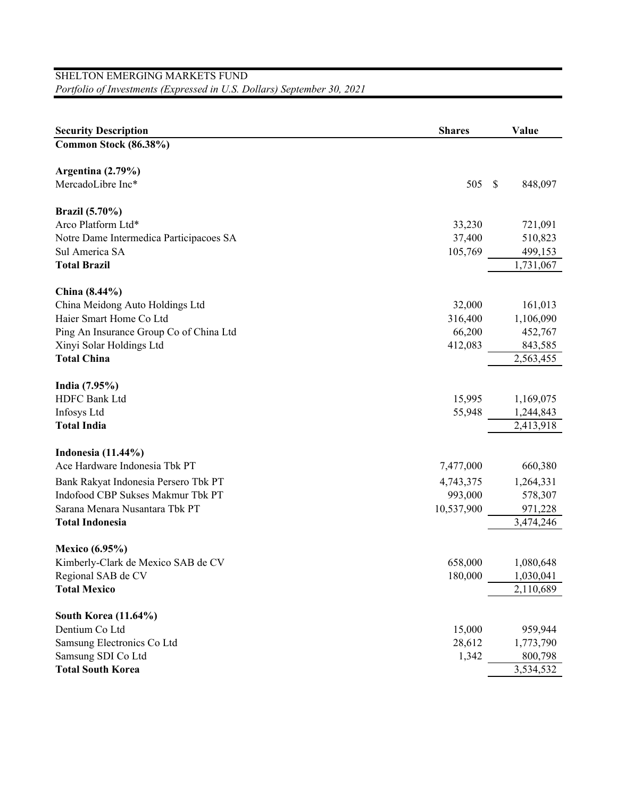## SHELTON EMERGING MARKETS FUND *Portfolio of Investments (Expressed in U.S. Dollars) September 30, 2021*

| <b>Security Description</b>             | <b>Shares</b> | Value        |
|-----------------------------------------|---------------|--------------|
| Common Stock (86.38%)                   |               |              |
|                                         |               |              |
| Argentina (2.79%)                       |               |              |
| MercadoLibre Inc*                       | 505           | S<br>848,097 |
| <b>Brazil</b> (5.70%)                   |               |              |
| Arco Platform Ltd*                      | 33,230        | 721,091      |
| Notre Dame Intermedica Participacoes SA | 37,400        | 510,823      |
| Sul America SA                          | 105,769       | 499,153      |
| <b>Total Brazil</b>                     |               | 1,731,067    |
|                                         |               |              |
| China (8.44%)                           |               |              |
| China Meidong Auto Holdings Ltd         | 32,000        | 161,013      |
| Haier Smart Home Co Ltd                 | 316,400       | 1,106,090    |
| Ping An Insurance Group Co of China Ltd | 66,200        | 452,767      |
| Xinyi Solar Holdings Ltd                | 412,083       | 843,585      |
| <b>Total China</b>                      |               | 2,563,455    |
| India (7.95%)                           |               |              |
| <b>HDFC Bank Ltd</b>                    | 15,995        | 1,169,075    |
| Infosys Ltd                             | 55,948        | 1,244,843    |
| <b>Total India</b>                      |               | 2,413,918    |
|                                         |               |              |
| <b>Indonesia</b> (11.44%)               |               |              |
| Ace Hardware Indonesia Tbk PT           | 7,477,000     | 660,380      |
| Bank Rakyat Indonesia Persero Tbk PT    | 4,743,375     | 1,264,331    |
| Indofood CBP Sukses Makmur Tbk PT       | 993,000       | 578,307      |
| Sarana Menara Nusantara Tbk PT          | 10,537,900    | 971,228      |
| <b>Total Indonesia</b>                  |               | 3,474,246    |
| <b>Mexico</b> (6.95%)                   |               |              |
| Kimberly-Clark de Mexico SAB de CV      | 658,000       | 1,080,648    |
| Regional SAB de CV                      | 180,000       | 1,030,041    |
| <b>Total Mexico</b>                     |               | 2,110,689    |
|                                         |               |              |
| <b>South Korea (11.64%)</b>             |               |              |
| Dentium Co Ltd                          | 15,000        | 959,944      |
| Samsung Electronics Co Ltd              | 28,612        | 1,773,790    |
| Samsung SDI Co Ltd                      | 1,342         | 800,798      |
| <b>Total South Korea</b>                |               | 3,534,532    |